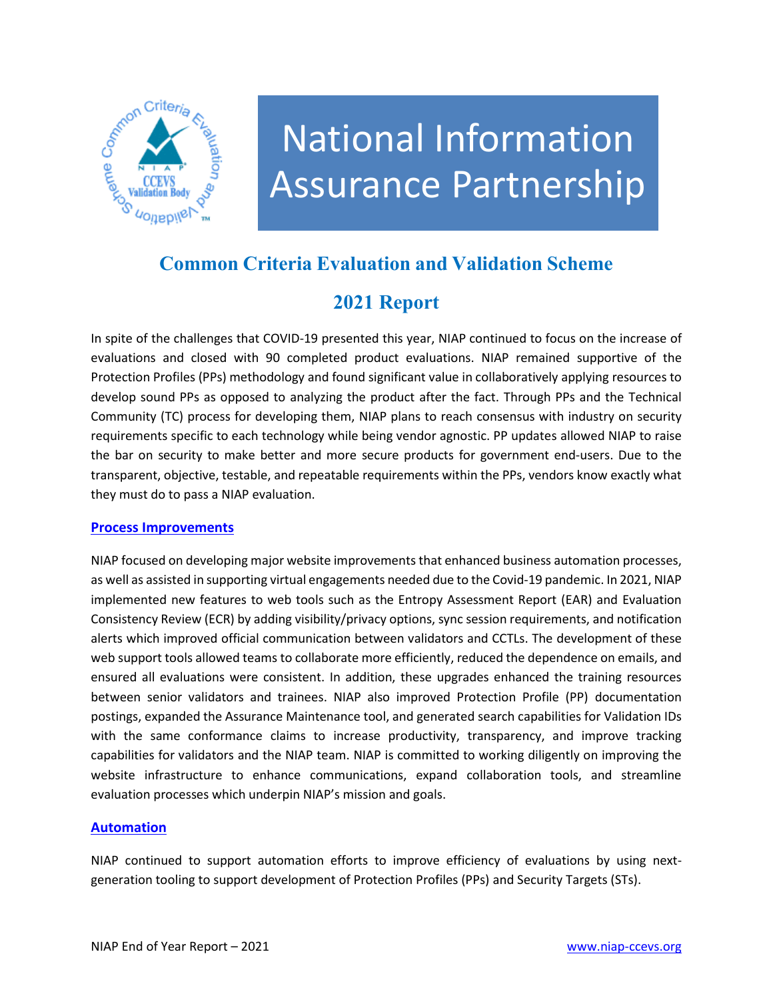

# National Information Assurance Partnership

## **Common Criteria Evaluation and Validation Scheme**

## **2021 Report**

In spite of the challenges that COVID-19 presented this year, NIAP continued to focus on the increase of evaluations and closed with 90 completed product evaluations. NIAP remained supportive of the Protection Profiles (PPs) methodology and found significant value in collaboratively applying resources to develop sound PPs as opposed to analyzing the product after the fact. Through PPs and the Technical Community (TC) process for developing them, NIAP plans to reach consensus with industry on security requirements specific to each technology while being vendor agnostic. PP updates allowed NIAP to raise the bar on security to make better and more secure products for government end-users. Due to the transparent, objective, testable, and repeatable requirements within the PPs, vendors know exactly what they must do to pass a NIAP evaluation.

#### **Process Improvements**

NIAP focused on developing major website improvements that enhanced business automation processes, as well as assisted in supporting virtual engagements needed due to the Covid-19 pandemic. In 2021, NIAP implemented new features to web tools such as the Entropy Assessment Report (EAR) and Evaluation Consistency Review (ECR) by adding visibility/privacy options, sync session requirements, and notification alerts which improved official communication between validators and CCTLs. The development of these web support tools allowed teams to collaborate more efficiently, reduced the dependence on emails, and ensured all evaluations were consistent. In addition, these upgrades enhanced the training resources between senior validators and trainees. NIAP also improved Protection Profile (PP) documentation postings, expanded the Assurance Maintenance tool, and generated search capabilities for Validation IDs with the same conformance claims to increase productivity, transparency, and improve tracking capabilities for validators and the NIAP team. NIAP is committed to working diligently on improving the website infrastructure to enhance communications, expand collaboration tools, and streamline evaluation processes which underpin NIAP's mission and goals.

#### **Automation**

NIAP continued to support automation efforts to improve efficiency of evaluations by using nextgeneration tooling to support development of Protection Profiles (PPs) and Security Targets (STs).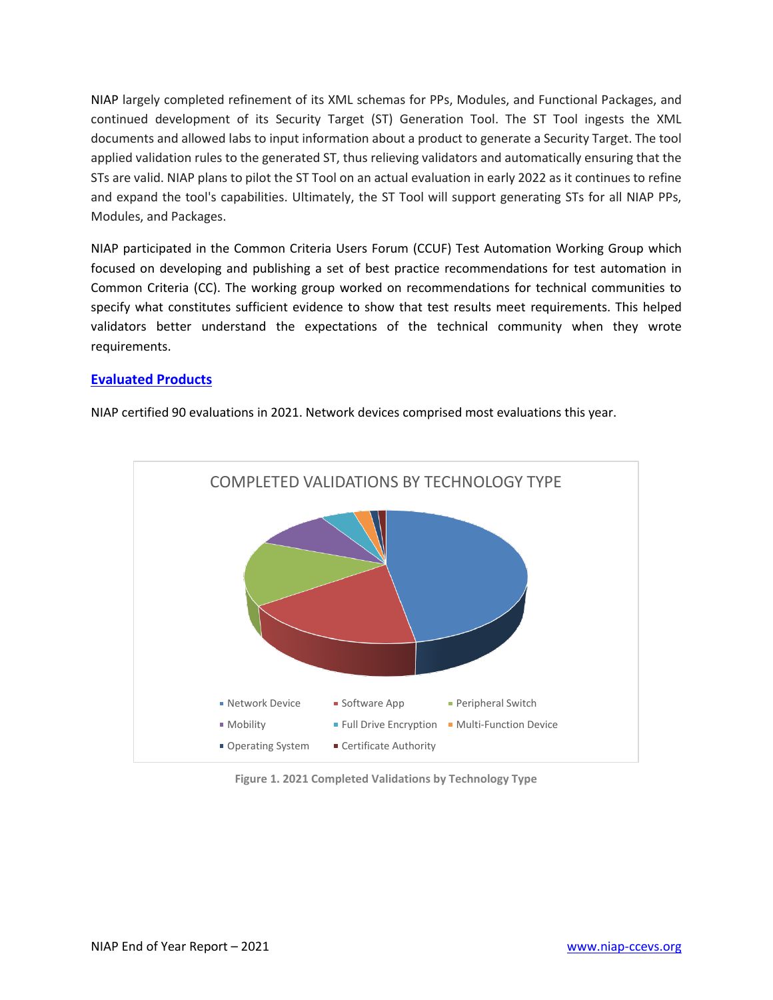NIAP largely completed refinement of its XML schemas for PPs, Modules, and Functional Packages, and continued development of its Security Target (ST) Generation Tool. The ST Tool ingests the XML documents and allowed labs to input information about a product to generate a Security Target. The tool applied validation rules to the generated ST, thus relieving validators and automatically ensuring that the STs are valid. NIAP plans to pilot the ST Tool on an actual evaluation in early 2022 as it continues to refine and expand the tool's capabilities. Ultimately, the ST Tool will support generating STs for all NIAP PPs, Modules, and Packages.

NIAP participated in the Common Criteria Users Forum (CCUF) Test Automation Working Group which focused on developing and publishing a set of best practice recommendations for test automation in Common Criteria (CC). The working group worked on recommendations for technical communities to specify what constitutes sufficient evidence to show that test results meet requirements. This helped validators better understand the expectations of the technical community when they wrote requirements.

#### **[Evaluated Products](https://www.niap-ccevs.org/Product/PCL.cfm)**

NIAP certified 90 evaluations in 2021. Network devices comprised most evaluations this year.



**Figure 1. 2021 Completed Validations by Technology Type**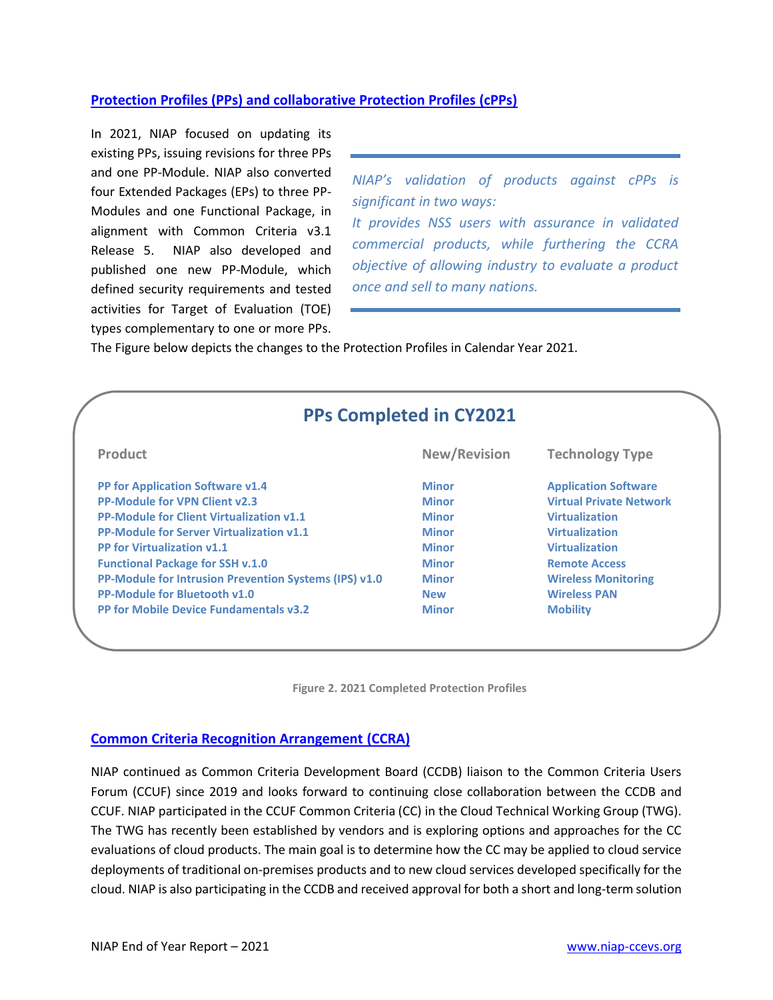#### **[Protection Profiles \(PPs\)](https://www.niap-ccevs.org/Profile/PP.cfm) and collaborative Protection Profiles (cPPs)**

In 2021, NIAP focused on updating its existing PPs, issuing revisions for three PPs and one PP-Module. NIAP also converted four Extended Packages (EPs) to three PP-Modules and one Functional Package, in alignment with Common Criteria v3.1 Release 5. NIAP also developed and published one new PP-Module, which defined security requirements and tested activities for Target of Evaluation (TOE) types complementary to one or more PPs.

*NIAP's validation of products against cPPs is significant in two ways: It provides NSS users with assurance in validated commercial products, while furthering the CCRA objective of allowing industry to evaluate a product* 

*once and sell to many nations.*

The Figure below depicts the changes to the Protection Profiles in Calendar Year 2021.

| <b>PPs Completed in CY2021</b>                               |                     |                                |
|--------------------------------------------------------------|---------------------|--------------------------------|
| <b>Product</b>                                               | <b>New/Revision</b> | <b>Technology Type</b>         |
| <b>PP for Application Software v1.4</b>                      | <b>Minor</b>        | <b>Application Software</b>    |
| <b>PP-Module for VPN Client v2.3</b>                         | <b>Minor</b>        | <b>Virtual Private Network</b> |
| <b>PP-Module for Client Virtualization v1.1</b>              | <b>Minor</b>        | <b>Virtualization</b>          |
| <b>PP-Module for Server Virtualization v1.1</b>              | <b>Minor</b>        | <b>Virtualization</b>          |
| <b>PP for Virtualization v1.1</b>                            | <b>Minor</b>        | <b>Virtualization</b>          |
| <b>Functional Package for SSH v.1.0</b>                      | <b>Minor</b>        | <b>Remote Access</b>           |
| <b>PP-Module for Intrusion Prevention Systems (IPS) v1.0</b> | <b>Minor</b>        | <b>Wireless Monitoring</b>     |
| PP-Module for Bluetooth v1.0                                 | <b>New</b>          | <b>Wireless PAN</b>            |
| <b>PP for Mobile Device Fundamentals v3.2</b>                | <b>Minor</b>        | <b>Mobility</b>                |



#### **[Common Criteria Recognition Arrangement](http://www.commoncriteriaportal.org/) (CCRA)**

NIAP continued as Common Criteria Development Board (CCDB) liaison to the Common Criteria Users Forum (CCUF) since 2019 and looks forward to continuing close collaboration between the CCDB and CCUF. NIAP participated in the CCUF Common Criteria (CC) in the Cloud Technical Working Group (TWG). The TWG has recently been established by vendors and is exploring options and approaches for the CC evaluations of cloud products. The main goal is to determine how the CC may be applied to cloud service deployments of traditional on-premises products and to new cloud services developed specifically for the cloud. NIAP is also participating in the CCDB and received approval for both a short and long-term solution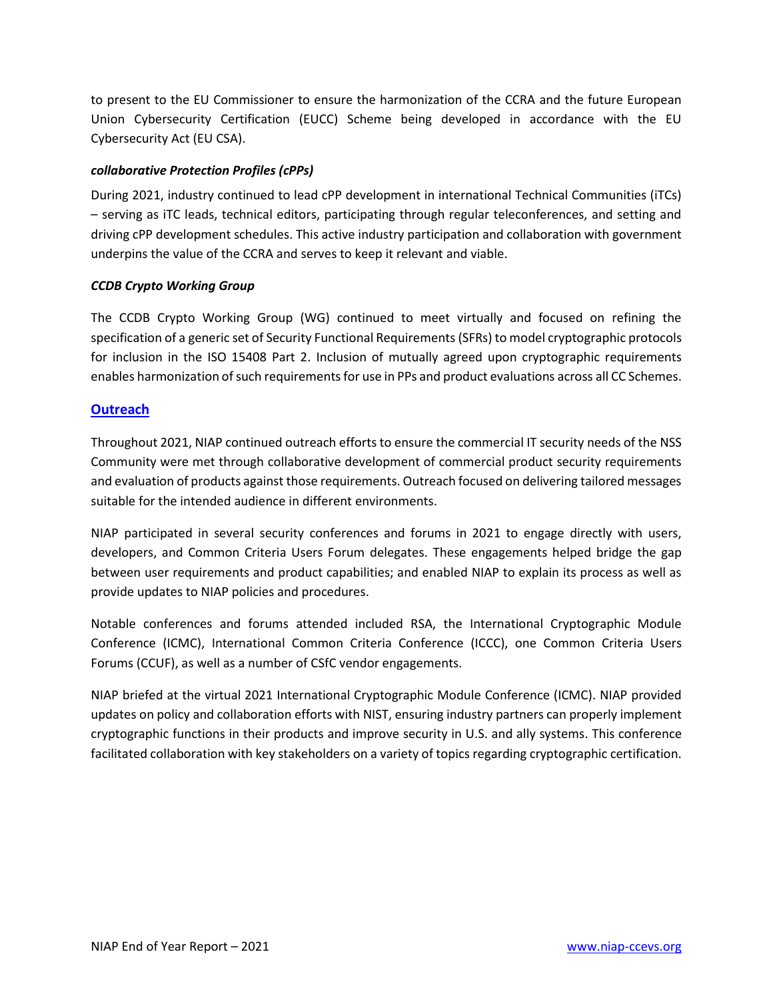to present to the EU Commissioner to ensure the harmonization of the CCRA and the future European Union Cybersecurity Certification (EUCC) Scheme being developed in accordance with the EU Cybersecurity Act (EU CSA).

#### *collaborative Protection Profiles (cPPs)*

During 2021, industry continued to lead cPP development in international Technical Communities (iTCs) – serving as iTC leads, technical editors, participating through regular teleconferences, and setting and driving cPP development schedules. This active industry participation and collaboration with government underpins the value of the CCRA and serves to keep it relevant and viable.

#### *CCDB Crypto Working Group*

The CCDB Crypto Working Group (WG) continued to meet virtually and focused on refining the specification of a generic set of Security Functional Requirements (SFRs) to model cryptographic protocols for inclusion in the ISO 15408 Part 2. Inclusion of mutually agreed upon cryptographic requirements enables harmonization of such requirements for use in PPs and product evaluations across all CC Schemes.

#### **Outreach**

Throughout 2021, NIAP continued outreach efforts to ensure the commercial IT security needs of the NSS Community were met through collaborative development of commercial product security requirements and evaluation of products against those requirements. Outreach focused on delivering tailored messages suitable for the intended audience in different environments.

NIAP participated in several security conferences and forums in 2021 to engage directly with users, developers, and Common Criteria Users Forum delegates. These engagements helped bridge the gap between user requirements and product capabilities; and enabled NIAP to explain its process as well as provide updates to NIAP policies and procedures.

Notable conferences and forums attended included RSA, the International Cryptographic Module Conference (ICMC), International Common Criteria Conference (ICCC), one Common Criteria Users Forums (CCUF), as well as a number of CSfC vendor engagements.

NIAP briefed at the virtual 2021 International Cryptographic Module Conference (ICMC). NIAP provided updates on policy and collaboration efforts with NIST, ensuring industry partners can properly implement cryptographic functions in their products and improve security in U.S. and ally systems. This conference facilitated collaboration with key stakeholders on a variety of topics regarding cryptographic certification.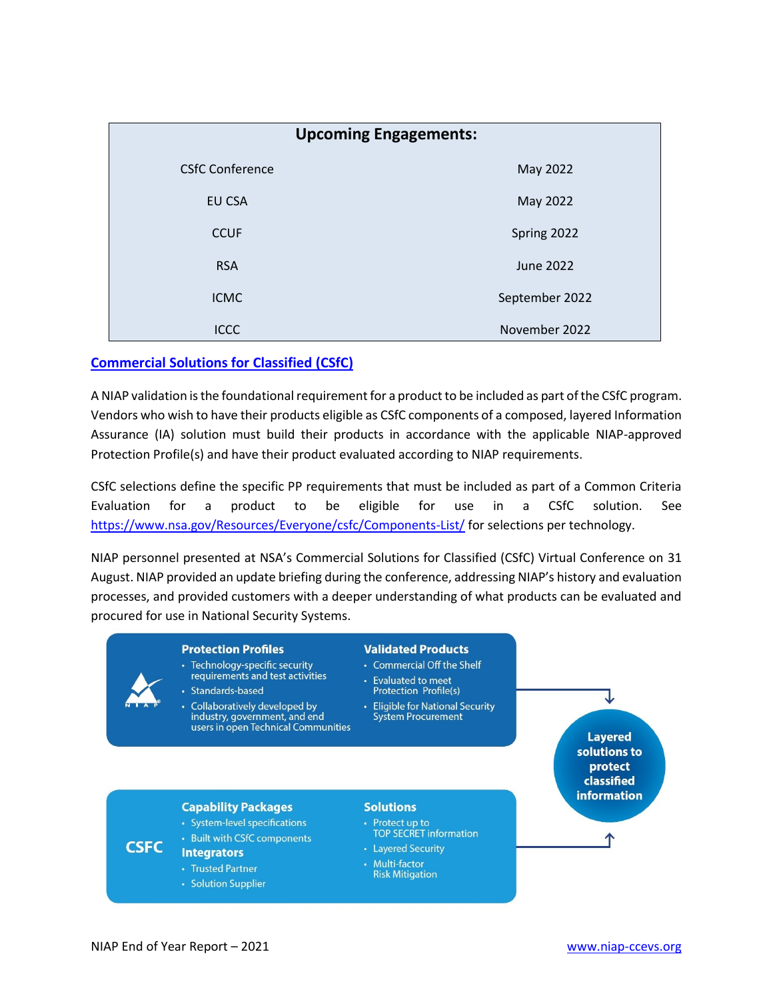| <b>Upcoming Engagements:</b> |                |  |
|------------------------------|----------------|--|
| <b>CSfC Conference</b>       | May 2022       |  |
| EU CSA                       | May 2022       |  |
| <b>CCUF</b>                  | Spring 2022    |  |
| <b>RSA</b>                   | June 2022      |  |
| <b>ICMC</b>                  | September 2022 |  |
| <b>ICCC</b>                  | November 2022  |  |

#### **Commercial Solutions for Classified (CSfC)**

A NIAP validation is the foundational requirement for a product to be included as part of the CSfC program. Vendors who wish to have their products eligible as CSfC components of a composed, layered Information Assurance (IA) solution must build their products in accordance with the applicable NIAP-approved Protection Profile(s) and have their product evaluated according to NIAP requirements.

CSfC selections define the specific PP requirements that must be included as part of a Common Criteria Evaluation for a product to be eligible for use in  $\mathsf{a}$ **CSfC** solution. See https://www.nsa.gov/Resources/Everyone/csfc/Components-List/ for selections per technology.

NIAP personnel presented at NSA's Commercial Solutions for Classified (CSfC) Virtual Conference on 31 August. NIAP provided an update briefing during the conference, addressing NIAP's history and evaluation processes, and provided customers with a deeper understanding of what products can be evaluated and procured for use in National Security Systems.

#### **Protection Profiles**

- Technology-specific security requirements and test activities
- Standards-based
- Collaboratively developed by industry, government, and end users in open Technical Communities

#### **Validated Products**

- Commercial Off the Shelf
- Evaluated to meet **Protection Profile(s)**
- Eligible for National Security **System Procurement**

### **Layered** solutions to protect classified **information**

#### **Capability Packages**

- · System-level specifications
- Built with CSfC components
- **Integrators**
- Trusted Partner
- Solution Supplier

#### **Solutions**

- Protect up to<br>TOP SECRET information
- Layered Security • Multi-factor
	- **Risk Mitigation**

**CSFC**